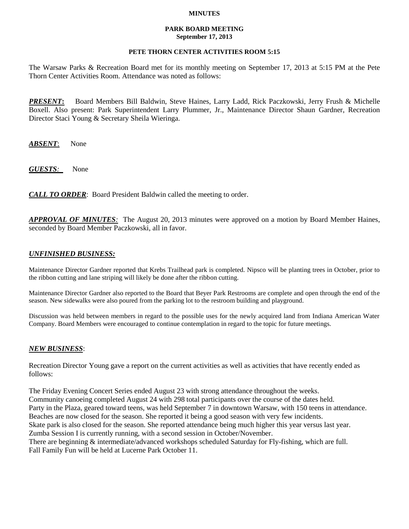### **MINUTES**

#### **PARK BOARD MEETING September 17, 2013**

## **PETE THORN CENTER ACTIVITIES ROOM 5:15**

The Warsaw Parks & Recreation Board met for its monthly meeting on September 17, 2013 at 5:15 PM at the Pete Thorn Center Activities Room. Attendance was noted as follows:

*PRESENT***:** Board Members Bill Baldwin, Steve Haines, Larry Ladd, Rick Paczkowski, Jerry Frush & Michelle Boxell. Also present: Park Superintendent Larry Plummer, Jr., Maintenance Director Shaun Gardner, Recreation Director Staci Young & Secretary Sheila Wieringa.

*ABSENT*: None

*GUESTS:*None

*CALL TO ORDER*: Board President Baldwin called the meeting to order.

*APPROVAL OF MINUTES:* The August 20, 2013 minutes were approved on a motion by Board Member Haines, seconded by Board Member Paczkowski, all in favor.

# *UNFINISHED BUSINESS:*

Maintenance Director Gardner reported that Krebs Trailhead park is completed. Nipsco will be planting trees in October, prior to the ribbon cutting and lane striping will likely be done after the ribbon cutting.

Maintenance Director Gardner also reported to the Board that Beyer Park Restrooms are complete and open through the end of the season. New sidewalks were also poured from the parking lot to the restroom building and playground.

Discussion was held between members in regard to the possible uses for the newly acquired land from Indiana American Water Company. Board Members were encouraged to continue contemplation in regard to the topic for future meetings.

### *NEW BUSINESS*:

Recreation Director Young gave a report on the current activities as well as activities that have recently ended as follows:

The Friday Evening Concert Series ended August 23 with strong attendance throughout the weeks. Community canoeing completed August 24 with 298 total participants over the course of the dates held. Party in the Plaza, geared toward teens, was held September 7 in downtown Warsaw, with 150 teens in attendance. Beaches are now closed for the season. She reported it being a good season with very few incidents. Skate park is also closed for the season. She reported attendance being much higher this year versus last year. Zumba Session I is currently running, with a second session in October/November. There are beginning & intermediate/advanced workshops scheduled Saturday for Fly-fishing, which are full. Fall Family Fun will be held at Lucerne Park October 11.